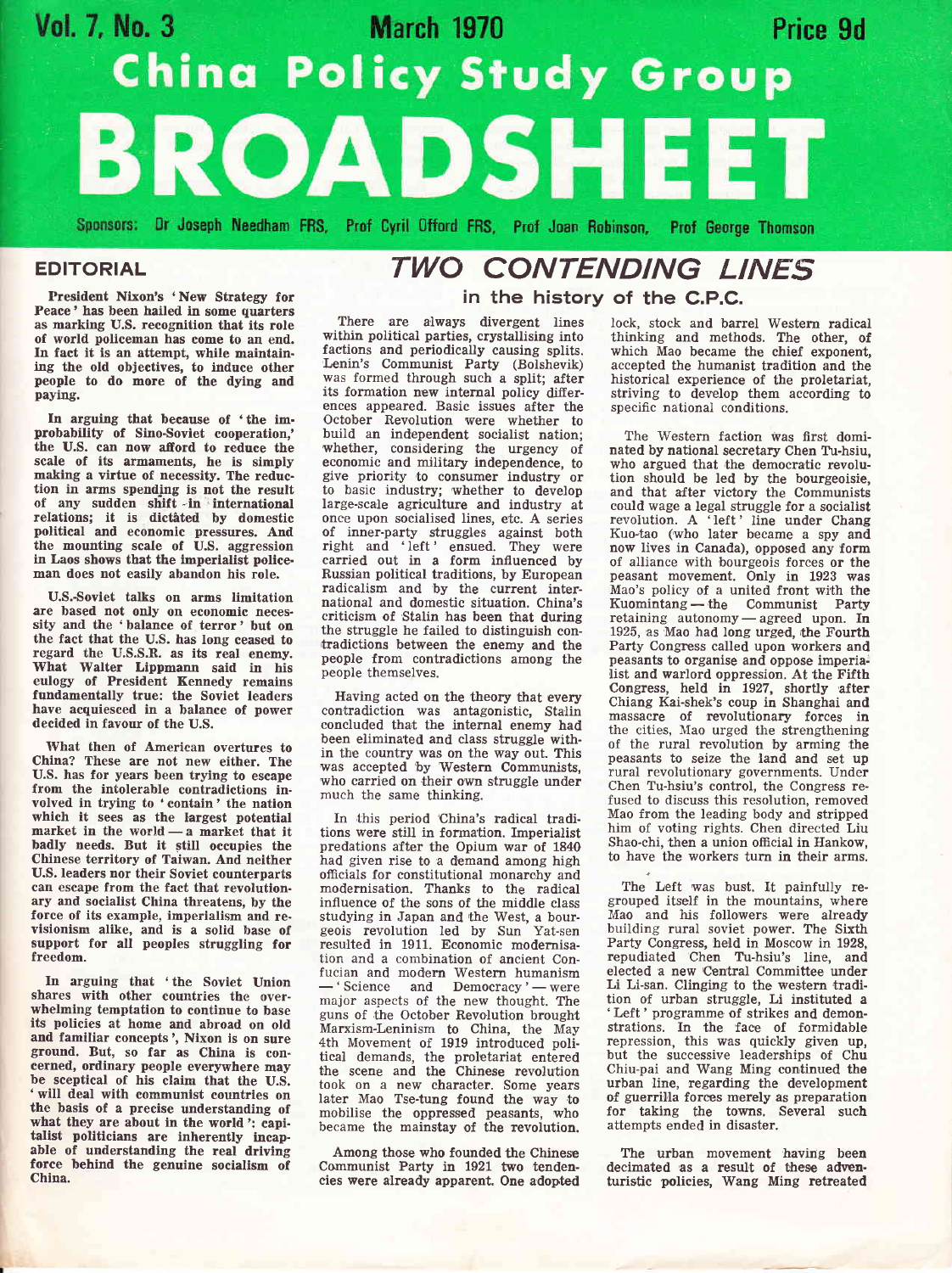# Vol. 7, No. 3 **March 1970** Price 9d **China Policy Study Group** ROADSHE

Sponsors: Dr Joseph Needham FRS, Prof Cyril Offord FRS, Prof Joan Robinson, Prof George Thomson

### EDITORIAL

President Nixon's 'New Strategy for Peace' has been hailed in some quarters as marking U.S. recognition that its role of world policeman has eome to an end. ing the old objectives, to induce other people to do more of the dying and paying.

In arguing that because of 'the im. probability of Sino-Soviet cooperation,' the U.S. can now afford to reduce the scale of its armaments, he is simply making a virtue of necessity. The reduction in arms spending is not the result of any sudden shift -in international relations; it is dictated by domestic political and economic pressures. And the mounting scale of U.S. aggression in Laos shows that the imperialist policeman does not easily abandon his role.

U.S.-Soviet talks on arms limitation are based not only on economic neces. sity and the 'balance of terror' but on the fact that the U.S. has long ceased to regard the U.S.S.R. as its real enemy. What Walter Lippmann said in his eulogy of President Kennedy remains fundamentally true: the Soviet leaders have acquiesced in a balance of power decided in favour of the U.S.

IVhat then of American overtures to China? These are not new either. The U.S. has for years been trying to escape from the intolerable contradictions involved in trying to 'contain' the nation which it sees as the largest potential market in the world — a market that it<br>badly needs. But it still occupies the badly needs. But it still occupies the Chinese territory of Taiwan. And neither U.S. leaders nor their Soviet counterparts can eseape from the fact that revolutionary and socialist China threatens, by the force of its example, imperialism and revisionism alike, and is a solid base of support for all peoples struggling for freedom.

In arguing that 'the Soviet Union shares with other eountries the overwhelming temptation to continue to base its policies at home and abroad on old and familiar concepts', Nixon is on sure ground. But, so far as China is concerned, ordinary people everywhere may be sceptical of his claim that the U.S. ' will deal with communist countries on the basis of a precise understanding of what they are about in the world; capi-<br>talist politicians are inherently incapable of understanding the real driving force behind the genuine socialism of China.

## TWO CONTENDING LINES in the history of the C.P.C.

There are always divergent lines within political parties, crystallising into factions and periodically causing splits. Lenin's Communist Party (Bolshevik) was formed through such a split; after its formation new internal policy differences appeared. Basic issues after the October Revolution were whether to build an independent socialist nation; whether, considering the urgency of economic and military independence, to give priority to consumer industry or to basic industry; whether to develop large-scale agriculture and industry at<br>once upon socialised lines, etc. A series once upon socialised lines, etc. A series of inner-party struggles against both right and 'left' ensued. They were carried out in a form influenced by Russian political traditions, by European radicalism and by the current international and domestic situation. China's criticism of Stalin has been that during the struggle he failed to distinguish contradictions between the enemy and the people from contradictions among the people themselves.

Ifaving acted on the theory that every contradiction was antagonistic, Stalin concluded that the internal enemy had been eliminated and class struggle within the country was on the way out. This was accepted 'by 'Western Communists, who carried on their own struggle under much the same thinking.

In this period 'China's radical traditions were still in formation. fmperialist predations after the Opium war of <sup>1840</sup> had given rise to a demand among high officials for constitutional monarchy and modernisation. Thanks to the radical influence of the sons of the middle class studying in Japan and the West, a bour-<br>geois revolution led by Sun Yat-sen resulted in 1911. Economic modernisation and a combination of ancient Confucian and modern Western humanism -' Science and Democracy '- were major aspects of the new thought. The guns of the October Revolution brought Marxism-Leninism to China, the May 4th Movement of 1919 introduced political demands, the proletariat entered the scene and the Chinese revolution took on a new character. Some years later Mao Tse-tung found the way to mobilise the oppressed peasants, who became the mainstay of the revolution

Among those who founded the Chinese Communist Farty in 1921 two tendencies were already apparent. One adopted lock, stock and barrel Westem radical thinking and methods. The other, of which Mao became the chief exponent, accepted the humanist tradition and the historical experience of the proletariat, striving to develop them according to specific national conditions.

The Western faction was first dominated by national secretary Chen Tu-hsiu, who argued that the democratic revolution should be led by the bourgeoisie and that after victory the Communists could wage a legal struggle for a socialist revolution. A 'left' line under Chang Kuo-tao (who later became a spy and now lives in Canada), opposed any form of alliance with bourgeois forces or the peasant movement. OnIy in 1923 was Mao's policy of a united front with the Kuomintang — the Communist Party<br>retaining autonomy — agreed upon. In retaining autonomy — agreed upon. In 1925, as Mao had long urged, the Fourth Party Congress called upon workers and peasants to organisg and oppose imperia: list and warlord oppression. At the Fifth Congress, held in 1927, shortly after Chiang Kai-shek's coup in Shanghai and massacre of revolutionary forces in the cities, NIao urged the strengthening of the rural revolution by arming the peasants to seize the land and set up rural revolutionary governments. Under Chen Tu-hsiu's control, the Congress refused to discuss this resolution, removed Mao from the leading body and stripped him of voting rights. Chen directed Liu Shao-chi, then a union official in Hankow, to have the workers turn in their arms.

The Left was bust. It painfully regrouped itself in the mountains, where Mao and his followers were already building rural soviet power. The Sixth Party Congress, held in Moscow in 1928, repudiated Chen Tu-hsiu's line, and eleeted a new Central Committee under Li Li-san. Clinging to the western tradition of urban struggle, Li instituted <sup>a</sup> 'Left' programme of strikes and demonstrations. In the face of formidable repression, this was quickly given up, but the successive leaderships of Chu Chiu-pai and Wang Ming continued the urban line, regarding the development of guerrilla forces merely as preparation for taking the towns. Several such attempts ended in disaster.

The urban movement having been decimated as a result of these adventuristic policies, Wang Ming retreated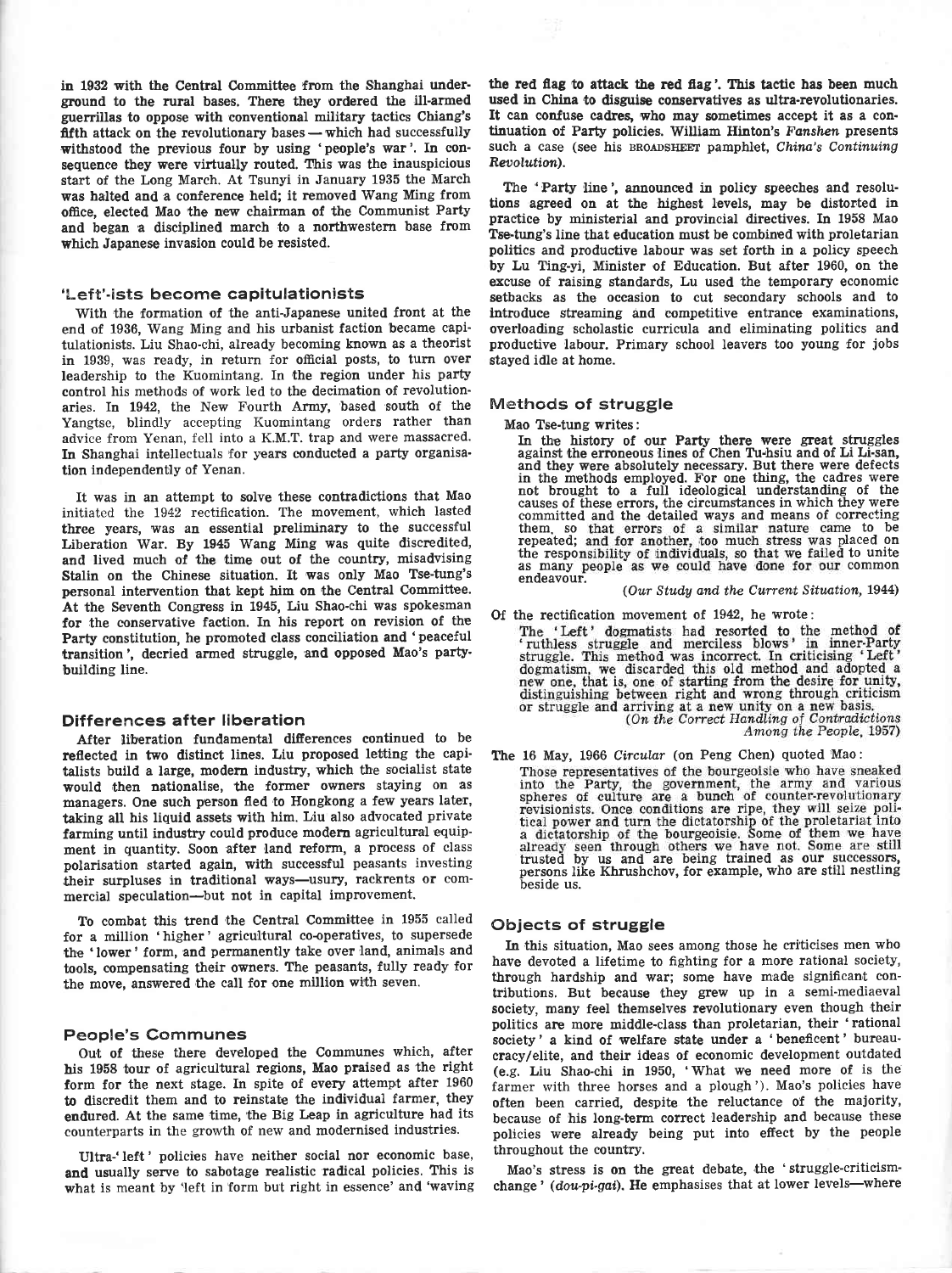in 1932 with the Central Committee from the Shanghai under' ground to the rural bases. There they ordered the ill-armed guerillas to oppose with conventional military tactics Chiang's fifth attack on the revolutionary bases  $-$  which had successfully withstood the previous four by using 'people's war'. In consequence they were virtually routed. This was the inauspicious start of the Long March. At Tsunyi in January 1935 the March was halted and a conference held; it removed Wang Ming from office, elected Mao 'the new chairman of the Communist Party and began a disciplined march to a northwestern base from which Japanese invasion could be resisted.

### 'Left'-ists become capitulationists

With the formation of the anti-Japanese united front at the end of 1936, Wang Ming and his urbanist faction became capitulationists. Liu Shao-chi, already becoming known as a theorist in 1939, was ready, in return for official posts, to turn over leadership to the Kuomintang. In the region under his party control his methods of work led to the decimation of revolutionaries. In L942, the New Fourth Army, based south of the Yangtse, blindly accepting Kuomintang orders rather than advice from Yenan, fell into a K.M.T. trap and were massacred. In Shanghai intellectuals for years conducted a party organisation independently of Yenan.

It was in an attempt to solve these contradictions that Mao initiated the 1942 rectification. The movement, which lasted three years, was an essential preliminary to the successful Liberation War. By 1945 Wang Ming was quite discredited, and lived much of the time out of the country, misadvising Stalin on the Chinese situation. It was only Mao Tse-tung's personal intervention that kept him on the Central Committee. At the Seventh Congress in 1945, Liu Shao-chi was spokesman for the conservative faction. In his report on revision of the Party constitution, he promoted class conciliation and 'peaceful transition', decried armed struggle, and opposed Mao's party' building line.

#### Differences after liberation

After liberation fundamental differences continued to be reflected in two distinct lines. Liu proposed letting the capitalists build a large, modern industry, which the socialist state would then nationalise, the former owners staying on as managers, One such person fled to Hongkong a few years later, taking all his liquid assets with him. Liu also advocated private farming until industry could produce modern agricultural equipment in quantity. Soon after land reform, a process of class polarisation started again, with successful peasants investing their surpluses in traditional ways-usury, rackrents or commercial speculation-but not in capital improvement.

To combat this trend the Central Committee in 1955 called for a million 'higher' agricultural co-operatives, to supersede the 'lower' form, and permanently take over land, animals and tools, compensating their owners. The peasants, fully ready for the move, answered the call for one million with seven.

### People's Communes

Out of these there developed the Communes which, after his 1958 tour of agricultural regions, Mao praised as the right form for the next stage. In spite of every attempt after 1960 to discredit them and to reinstate the individual farmer, they endured. At the same time, the Big Leap in agriculture had its counterparts in the growth of new and modernised industries.

Ultra-'left' policies have neither social nor economic base, and usually serve to sabotage realistic radical policies. This is what is meant by 'left in form but right in essence' and 'waving the red flag to attack the red flag'. This tactic has been much used in China to disguise conservatives as ultra-revolutionaries.<br>It can confuse cadres, who may sometimes accept it as a con-<br>tinuation of Party policies. William Hinton's Fanshen presents such a case (see his BROADSHEET pamphlet, China's Continuing Reoolution).

The 'Party line', announced in policy speeches and resolutions agreed on at the highest levels, may be distorted in practice by ministerial and provincial directives. In 1958 Mao Tse-tung's line that education must be combined with proletarian politics and productive labour was set forth in a policy speech by Lu Ting-yi, Minister of Education. But after 1960, on the excuse of raising standards, Lu used the temporary economic setbacks as the occasion to cut secondary schools and to introduce streaming and competitive entrance examinations, overloading scholastic curricula and eliminating politics and prroductive labour. Primary school leavers too young for iobs stayed idle at home.

### M@thods of struggle

Mao Tse-tung writes:

In the history of our Party there were great struggles against the ermneous lines of Chen Tutsiu and of Li Li-san, and they were absolutely necessary. But there were defects in the methods empl'oyed. For one thing, the cadres were not brought to a full ideological understanding of the causes of these errors, the circumstances in which they were committed and the detailed ways and means of correcting them. so that errors of a similar nature came to be repeated; and for another, too much stress was placed on the responsibility of individuals, so that we failed to unite<br>as many people as we could have done for our common endeavour.

(Our Study and the Current Situation, 1944)

Of the rectification movement of 1942, he wrote:<br>The 'Left' dogmatists had resorted to the method of<br>'ruthless struggle and merciless blows' in inner-Party<br>struggle. This method was incorrect. In criticising 'Left'<br>dogmati new one, that is, one of starting from the desire for unity, distinguishing between right and wrong through criticism or struggle and arriving at a new unity on a new basis.<br>(On the Correct Handling of Contradictions)

Among the People, 1957)

The 16 May, 1966 Circular (on Peng Chen) quoted Mao:<br>Those representatives of the bourgeoisie who have sneaked into the Party, the government, the army and various spheres of culture are a bunch of counter-revolutionary trusted by us and are being trained as our successors, persons like Khrushchov, for example, who are still nestling beside us.

### Objects of struggle

In this situation, Mao sees among those he criticises men who have devoted a lifetime to fighting for a more rational society, through hardship and war; some have made significant contributions. But because they grew up in a semi-mediaeval society, many feel themselves revolutionary even though their politics are more middle-class than proletarian, their 'rational society' a kind of welfare state under a 'beneficent' bureau' cracylelite, and their ideas of economic development outdated (e.g. Liu Shao-chi in 1950, 'What we need more of is the farmer with three horses and a plough'). Mao's policies have often been carried, despite the reluctance of the maiority, because of his long-term correct leadership and because these policies were already being put into effect by the people throughout the country.

Mao's stress is on the great debate, the 'struggle-criticismchange' (dou-pi-gai). He emphasises that at lower levels-where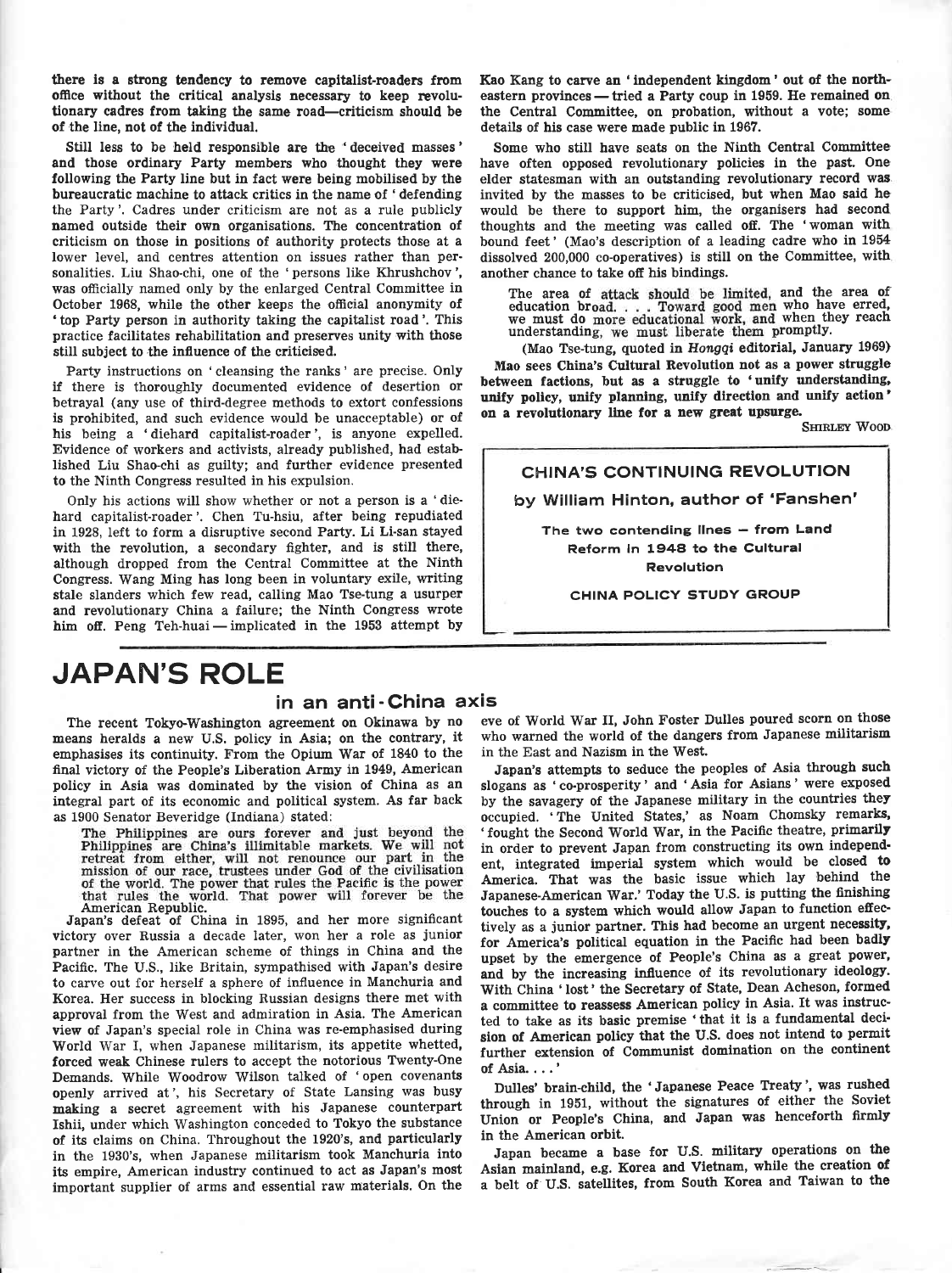there is a strong tendency to remove capitalist-roaders from office without the critical analysis necessary to keep revolutionary cadres from taking the same road-criticism should be of the line, not of the individual.

Still less to be held responsible are the 'deceived masses' and those ordinary Party members who thought they were following the Party line but in fact were being mobilised by the bureaucratic machine to attack critics in the name of 'defending the Party'. Cadres under criticism are not as a rule publicly named outside their own organisations. The concentration of criticism on those in positions of authority protects those at <sup>a</sup> lower level, and centres attention on issues rather than personalities. Liu Shao-chi, one of the 'persons like Khrushchov', was officially named only by the enlarged Central Committee in October 1968, while the other keeps the official anonymity of 'top Party person in authority taking the capitalist road'. This practice facilitates rehabilitation and preserves unity with those still subject to the influence of the criticised.

Party instructions on 'cleansing the ranks' are precise. Only if there is thoroughly documented evidence of desertion or betrayal (any use of third-degree methods to extort confessions is prohibited, and such evidence would be unacceptable) or of his being a 'diehard capitalist-roader', is anyone expelled. Evidence of workers and activists, already published, had established Liu Shao-chi as guilty; and further evidence presented to the Ninth Congress resulted in his expulsion.

Only his actions will show whether or not a person is a 'diehard capitalist-roader'. Chen Tu-hsiu, after being repudiated in 1928, left to form a disruptive second Party. Li Li-san stayed with the revolution, a secondary fighter, and is still there, although dropped from the Central Committee at the Ninth Congress. Wang Ming has long been in voluntary exile, writing stale slanders which few read, calling Mao Tse-tung a usurper and revolutionary China a failure; the Ninth Congress wrote him off. Peng Teh-huai — implicated in the 1953 attempt by

Kao Kang to carve an 'independent kingdom' out of the northeastern provinces — tried a Party coup in 1959. He remained on the Central Committee, on probation, without a vote; some details of his case were made public in 1967.

Some who still have seats on the Ninth Central Committee' have often opposed revolutionary policies in the past. One elder statesman with an outstanding revolutionary record wag invited by the masses to be criticised, but when Mao said he would be there to support him, the organisers had second thoughts and the meeting was called off. The 'woman with bound feet' (Mao's description of a leading cadre who in <sup>1954</sup> dissolved 200,000 co-operatives) is still on the Committee, with another chance to take off his bindings.

The area of attack should be limited, and the area of education broad. . . . Toward good men who have erred, we must do more educational work, and when they reach understanding, we must liberate them promptly. understanding, we must liberate them promptly.<br>(Mao Tse-tung, quoted in Hongqi editorial, January 1969)

Mao sees China's Cultural Revolution not as a power struggle between factions, but as a struggle to 'unify understanding, unify policy, unify planning, unify direction and unify action' on a revolutionary line for a new great upsurge.

SHIRLEY WOOD

CHINA'S CONTINUING REVOLUTION by William Hinton, author of 'Fanshen' The two contending lines - from Land Reform in 1948 to the Cultural Revolution

GHINA POLICY STUDY GROUP

# JAPAN'S ROLE

### in an anti - China axis

The recent Tokyo,Washington agreement on Okinawa by no means heralds a new U.S. policy in Asia; on the contrary, it emphasises its continuity. From the Opium War of 1840 to the final victory of the People's Liberation Army in 1949, American policy in Asia was dominated by the vision of China as an integral part of its economic and political system. As far back

as 1900 Senator Beveridge (Indiana) stated:<br>The Philippines are ours forever and just beyond the<br>Philippines are China's illimitable markets. We will not<br>retreat from either, will not renounce our part in the<br>mission of ou of the world. The power that rules the Pacific is the power<br>that rules the world. That power will forever be the<br>American Republic.

Japan's defeat of China in 1895, and her more significant victory over Russia a decade later, won her a role as junior partner in the American scheme of things in China and the Pacific. The U.S., like Britain, sympathised with Japan's desire to carve out for herself a sphere of influence in Manchuria and Korea. Her success in blocking Russian designs there met with approval from the West and admiration in Asia. The American view of Japan's special role in China was re-emphasised during World War I, when Japanese militarism, its appetite whetted, forced weak Chinese rulers to accept the notorious TWenty-One Demands. While Woodrow Wilson talked of 'open covenants openly arrived at', his Secretary of State Lansing was busy making a secret agreement with his Japanese counterpart Ishii, under which Washington conceded to Tokyo the substance of its claims on China. Throughout the 1920's, and particularly in the 1930's, when Japanese militarism took Manchuria into its empire, American industry continued to act as Japan's most important supplier of arms and essential raw materials. On the

eve of World War II, John Foster Dulles poured scorn on those who warned the world of the dangers from Japanese militarism in the East and Nazism in the West.

Japan's attempts to seduce the peoples of Asia through such slogans as 'co-prosperity' and 'Asia for Asians' were exposed by the savagery of the Japanese military in the countries they occupied. 'The United States,' as Noam Chomsky remarks, 'fought the Second World War, in the Pacific theatre, primarily in order to prevent Japan from constructing its own independ' ent, integrated imperial system which would be closed to America. That was the basic issue which lay behind the Japanese-American War.' Today the U.S. is putting the finishing touches to a system which would allow Japan to function effectively as a junior partner. This had become an urgent necessity, for America's political equation in the Pacific had been badly upset by the emergence of People's China as a great power, and by the increasing influence of its revolutionary ideology. With China 'lost' the Secretary of State, Dean Acheson, formed a committee to reassess American policy in Asia. It was instructed to take as its basic premise 'that it is a fundamental deci' sion of American policy that the U.S. does not intend to permit further extension of Communist domination on the continent of Asia....'

Dulles' brain-child, the 'Japanese Peace Treaty', was rushed through in 1951, without the signatures of either the Soviet Union or People's China, and Japan was henceforth firmly in the American orbit.

Japan became a base for U.S. military operations on the Asian mainland, e.g. Korea and Vletnam, while the creation of a belt of U.S. satellites, from South Korea and Taiwan to the